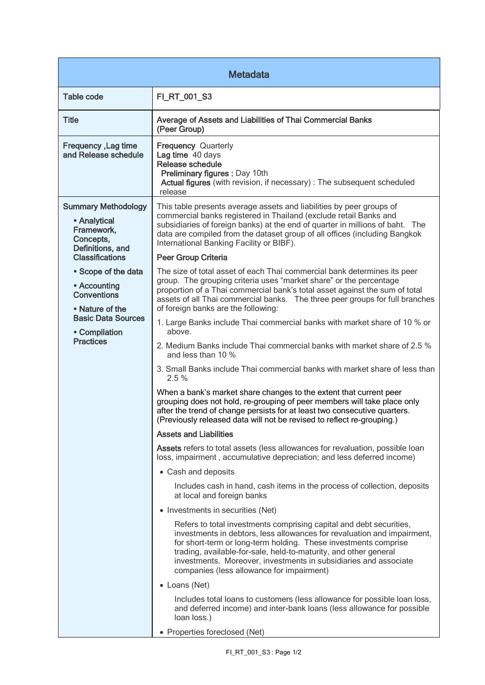| <b>Metadata</b>                                                                                                                                                          |                                                                                                                                                                                                                                                                                                                                                                                                        |  |
|--------------------------------------------------------------------------------------------------------------------------------------------------------------------------|--------------------------------------------------------------------------------------------------------------------------------------------------------------------------------------------------------------------------------------------------------------------------------------------------------------------------------------------------------------------------------------------------------|--|
| <b>Table code</b>                                                                                                                                                        | FI_RT_001_S3                                                                                                                                                                                                                                                                                                                                                                                           |  |
| <b>Title</b>                                                                                                                                                             | Average of Assets and Liabilities of Thai Commercial Banks<br>(Peer Group)                                                                                                                                                                                                                                                                                                                             |  |
| Frequency, Lag time<br>and Release schedule                                                                                                                              | <b>Frequency Quarterly</b><br>Lag time 40 days<br>Release schedule<br>Preliminary figures : Day 10th<br>Actual figures (with revision, if necessary) : The subsequent scheduled<br>release                                                                                                                                                                                                             |  |
| <b>Summary Methodology</b><br>• Analytical<br>Framework,<br>Concepts,<br>Definitions, and                                                                                | This table presents average assets and liabilities by peer groups of<br>commercial banks registered in Thailand (exclude retail Banks and<br>subsidiaries of foreign banks) at the end of quarter in millions of baht. The<br>data are compiled from the dataset group of all offices (including Bangkok<br>International Banking Facility or BIBF).                                                   |  |
| <b>Classifications</b><br>• Scope of the data<br>• Accounting<br><b>Conventions</b><br>• Nature of the<br><b>Basic Data Sources</b><br>• Compilation<br><b>Practices</b> | <b>Peer Group Criteria</b>                                                                                                                                                                                                                                                                                                                                                                             |  |
|                                                                                                                                                                          | The size of total asset of each Thai commercial bank determines its peer<br>group. The grouping criteria uses "market share" or the percentage<br>proportion of a Thai commercial bank's total asset against the sum of total<br>assets of all Thai commercial banks. The three peer groups for full branches<br>of foreign banks are the following:                                                   |  |
|                                                                                                                                                                          | 1. Large Banks include Thai commercial banks with market share of 10 % or<br>above.                                                                                                                                                                                                                                                                                                                    |  |
|                                                                                                                                                                          | 2. Medium Banks include Thai commercial banks with market share of 2.5 %<br>and less than 10 %                                                                                                                                                                                                                                                                                                         |  |
|                                                                                                                                                                          | 3. Small Banks include Thai commercial banks with market share of less than<br>2.5%                                                                                                                                                                                                                                                                                                                    |  |
|                                                                                                                                                                          | When a bank's market share changes to the extent that current peer<br>grouping does not hold, re-grouping of peer members will take place only<br>after the trend of change persists for at least two consecutive quarters.<br>(Previously released data will not be revised to reflect re-grouping.)                                                                                                  |  |
|                                                                                                                                                                          | <b>Assets and Liabilities</b>                                                                                                                                                                                                                                                                                                                                                                          |  |
|                                                                                                                                                                          | Assets refers to total assets (less allowances for revaluation, possible loan<br>loss, impairment, accumulative depreciation; and less deferred income)                                                                                                                                                                                                                                                |  |
|                                                                                                                                                                          | • Cash and deposits                                                                                                                                                                                                                                                                                                                                                                                    |  |
|                                                                                                                                                                          | Includes cash in hand, cash items in the process of collection, deposits<br>at local and foreign banks                                                                                                                                                                                                                                                                                                 |  |
|                                                                                                                                                                          | • Investments in securities (Net)                                                                                                                                                                                                                                                                                                                                                                      |  |
|                                                                                                                                                                          | Refers to total investments comprising capital and debt securities,<br>investments in debtors, less allowances for revaluation and impairment,<br>for short-term or long-term holding. These investments comprise<br>trading, available-for-sale, held-to-maturity, and other general<br>investments. Moreover, investments in subsidiaries and associate<br>companies (less allowance for impairment) |  |
|                                                                                                                                                                          | • Loans (Net)                                                                                                                                                                                                                                                                                                                                                                                          |  |
|                                                                                                                                                                          | Includes total loans to customers (less allowance for possible loan loss,<br>and deferred income) and inter-bank loans (less allowance for possible<br>loan loss.)                                                                                                                                                                                                                                     |  |
|                                                                                                                                                                          | • Properties foreclosed (Net)                                                                                                                                                                                                                                                                                                                                                                          |  |